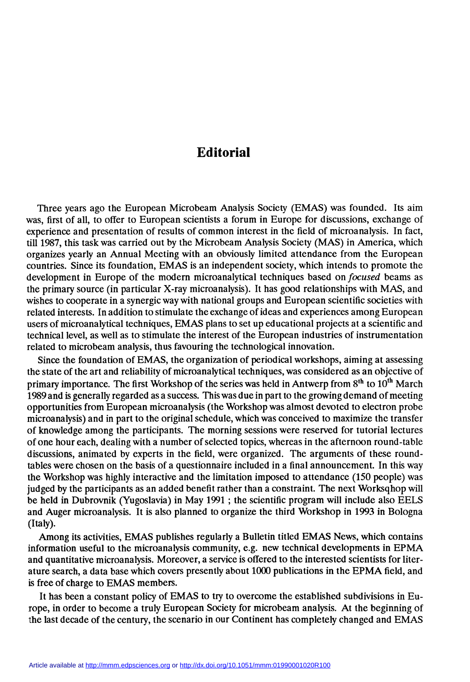## Editorial

Three years ago the European Microbeam Analysis Society (EMAS) was founded. Its aim was, first of all, to offer to European scientists a forum in Europe for discussions, exchange of experience and presentation of results of common interest in the field of microanalysis. In fact, till 1987, this task was carried out by the Microbeam Analysis Society (MAS) in America, which organizes yearly an Annual Meeting with an obviously limited attendance from the European countries. Since its foundation, EMAS is an independent society, which intends to promote the development in Europe of the modern microanalytical techniques based on *focused* beams as the primary source (in particular X-ray microanalysis). It has good relationships with MAS, and wishes to cooperate in a synergic way with national groups and European scientific societies with<br>related interests. In addition to stimulate the exchange of ideas and experiences among European users of microanalytical techniques, EMAS plans to set up educational projects at a scientific and technical level, as well as to stimulate the interest of the European industries of instrumentation related to microbeam analysis, thus favouring the technological innovation.

Since the foundation of EMAS, the organization of periodical workshops, aiming at assessing the state of the art and reliability of microanalytical techniques, was considered as an objective of primary importance. The first Workshop of the series was held in Antwerp from  $8<sup>th</sup>$  to  $10<sup>th</sup>$  March 1989 and is generally regarded as a success. This was due in part to the growing demand of meeting opportunities from European microanalysis (the Workshop was almost devotcd to electron probe microanalysis) and in part to the original schedule, which was conceived to maximize the transfer of knowledge among the participants. The morning sessions were reserved for tutorial lectures of one hour each, dealing with a number of selected topics, whereas in the afternoon round-table discussions, animated by experts in the field, were organized. The arguments of these roundtables were chosen on the basis of a questionnaire included in a final announcement. In this way the Workshop was highly interactive and the limitation imposed to attendance (150 people) was judged by the participants as an added benefit rather than a constraint. The next Worksqhop will be held in Dubrovnik (Yugoslavia) in May 1991 ; the scientific program will include also EELS and Auger microanalysis. It is also planned to organize the third Workshop in 1993 in Bologna (Italy).

Among its activities, EMAS publishes regularly a Bulletin titled EMAS News, which contains information useful to the microanalysis community, e.g. new technical developments in EPMA and quantitative microanalysis. Moreover, a service is offered to the interested scientists for literature search, a data base which covers presently about 1000 publications in the EPMA field, and is free of charge to EMAS members.

It has been a constant policy of EMAS to try to overcome the established subdivisions in Europe, in order to become a truly European Society for microbeam analysis. At the beginning of the last decade of the century, the scenario in our Continent has completely changed and EMAS